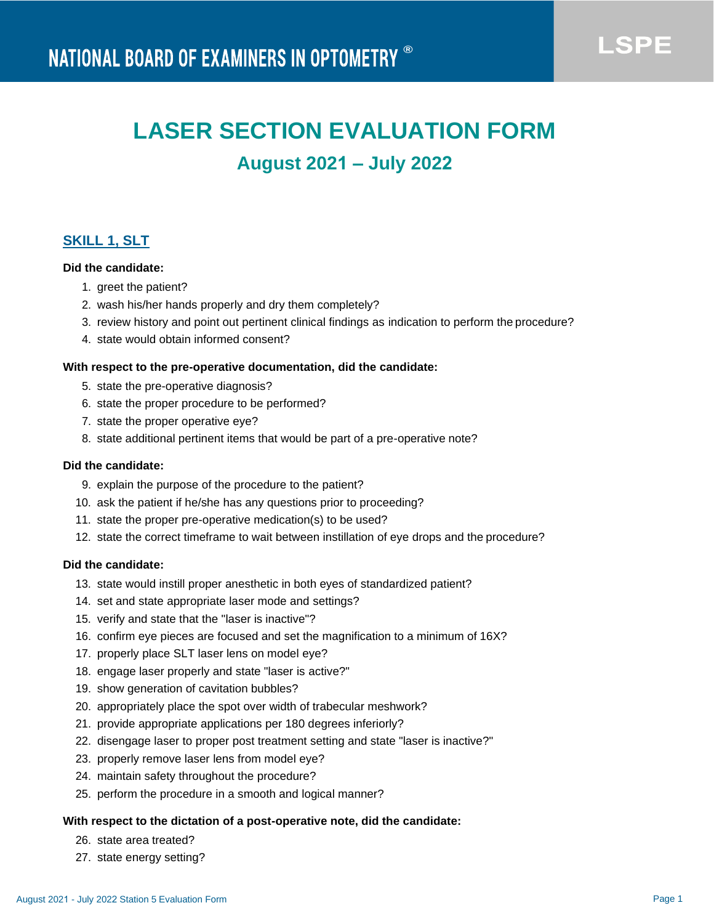# **LASER SECTION EVALUATION FORM**

# **August 2021 – July 2022**

### **SKILL 1, SLT**

#### **Did the candidate:**

- 1. greet the patient?
- 2. wash his/her hands properly and dry them completely?
- 3. review history and point out pertinent clinical findings as indication to perform the procedure?
- 4. state would obtain informed consent?

#### **With respect to the pre-operative documentation, did the candidate:**

- 5. state the pre-operative diagnosis?
- 6. state the proper procedure to be performed?
- 7. state the proper operative eye?
- 8. state additional pertinent items that would be part of a pre-operative note?

#### **Did the candidate:**

- 9. explain the purpose of the procedure to the patient?
- 10. ask the patient if he/she has any questions prior to proceeding?
- 11. state the proper pre-operative medication(s) to be used?
- 12. state the correct timeframe to wait between instillation of eye drops and the procedure?

#### **Did the candidate:**

- 13. state would instill proper anesthetic in both eyes of standardized patient?
- 14. set and state appropriate laser mode and settings?
- 15. verify and state that the "laser is inactive"?
- 16. confirm eye pieces are focused and set the magnification to a minimum of 16X?
- 17. properly place SLT laser lens on model eye?
- 18. engage laser properly and state "laser is active?"
- 19. show generation of cavitation bubbles?
- 20. appropriately place the spot over width of trabecular meshwork?
- 21. provide appropriate applications per 180 degrees inferiorly?
- 22. disengage laser to proper post treatment setting and state "laser is inactive?"
- 23. properly remove laser lens from model eye?
- 24. maintain safety throughout the procedure?
- 25. perform the procedure in a smooth and logical manner?

#### **With respect to the dictation of a post-operative note, did the candidate:**

- 26. state area treated?
- 27. state energy setting?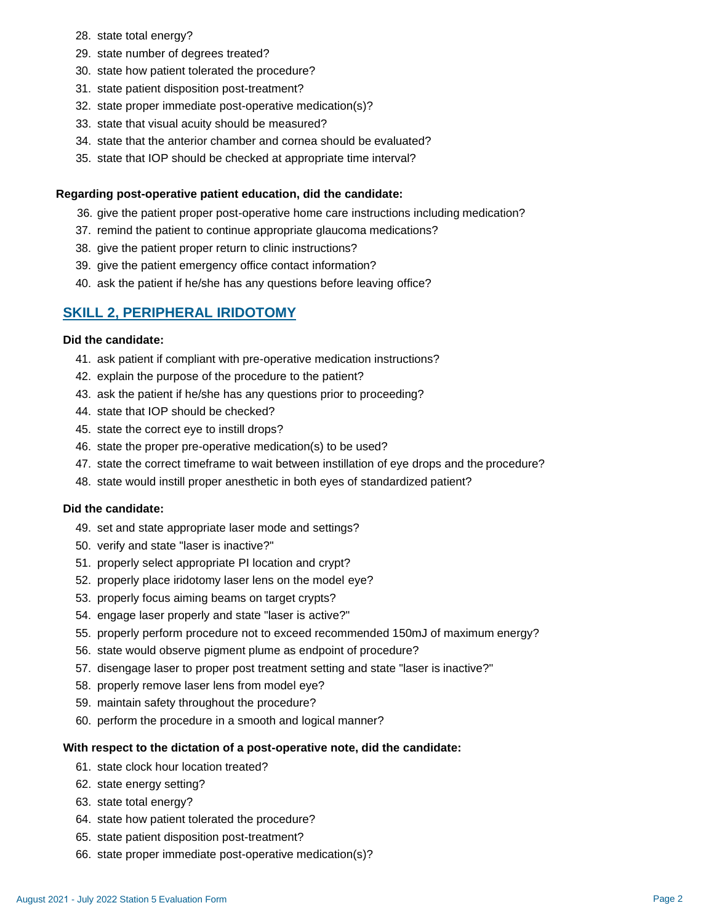- 28. state total energy?
- 29. state number of degrees treated?
- 30. state how patient tolerated the procedure?
- 31. state patient disposition post-treatment?
- 32. state proper immediate post-operative medication(s)?
- 33. state that visual acuity should be measured?
- 34. state that the anterior chamber and cornea should be evaluated?
- 35. state that IOP should be checked at appropriate time interval?

#### **Regarding post-operative patient education, did the candidate:**

- 36. give the patient proper post-operative home care instructions including medication?
- 37. remind the patient to continue appropriate glaucoma medications?
- 38. give the patient proper return to clinic instructions?
- 39. give the patient emergency office contact information?
- 40. ask the patient if he/she has any questions before leaving office?

#### **SKILL 2, PERIPHERAL IRIDOTOMY**

#### **Did the candidate:**

- 41. ask patient if compliant with pre-operative medication instructions?
- 42. explain the purpose of the procedure to the patient?
- 43. ask the patient if he/she has any questions prior to proceeding?
- 44. state that IOP should be checked?
- 45. state the correct eye to instill drops?
- 46. state the proper pre-operative medication(s) to be used?
- 47. state the correct timeframe to wait between instillation of eye drops and the procedure?
- 48. state would instill proper anesthetic in both eyes of standardized patient?

#### **Did the candidate:**

- 49. set and state appropriate laser mode and settings?
- 50. verify and state "laser is inactive?"
- 51. properly select appropriate PI location and crypt?
- 52. properly place iridotomy laser lens on the model eye?
- 53. properly focus aiming beams on target crypts?
- 54. engage laser properly and state "laser is active?"
- 55. properly perform procedure not to exceed recommended 150mJ of maximum energy?
- 56. state would observe pigment plume as endpoint of procedure?
- 57. disengage laser to proper post treatment setting and state "laser is inactive?"
- 58. properly remove laser lens from model eye?
- 59. maintain safety throughout the procedure?
- 60. perform the procedure in a smooth and logical manner?

#### **With respect to the dictation of a post-operative note, did the candidate:**

- 61. state clock hour location treated?
- 62. state energy setting?
- 63. state total energy?
- 64. state how patient tolerated the procedure?
- 65. state patient disposition post-treatment?
- 66. state proper immediate post-operative medication(s)?